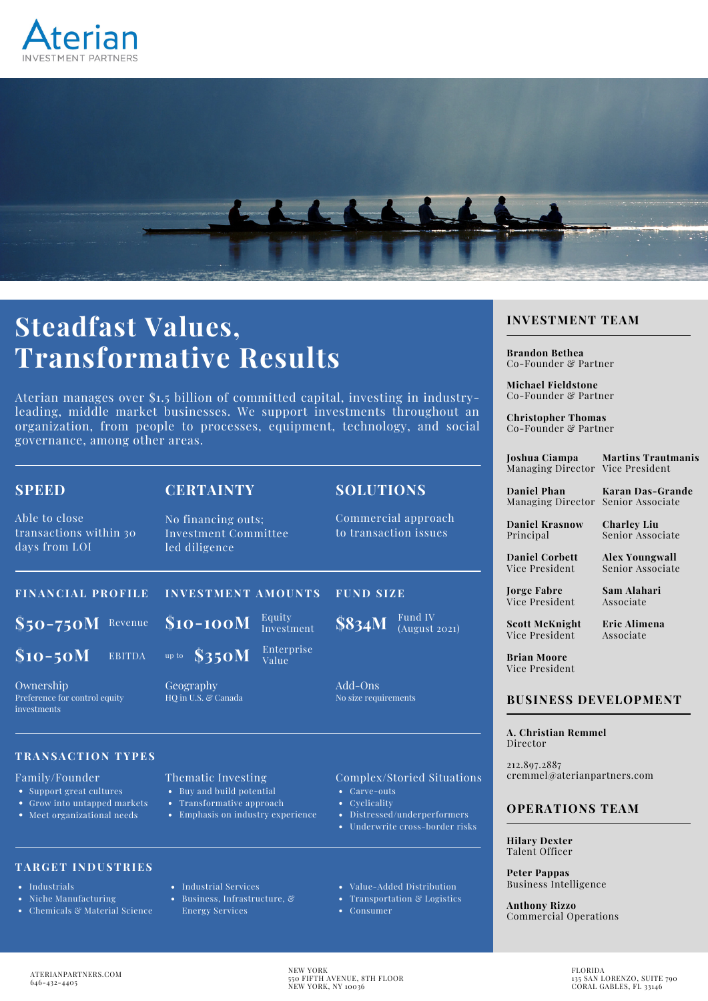



# **Steadfast Values, Transformative Results**

Aterian manages over \$1.5 billion of committed capital, investing in industryleading, middle market businesses. We support investments throughout an organization, from people to processes, equipment, technology, and social governance, among other areas.

| <b>SPEED</b>                                              | <b>CERTAINTY</b>                                            | <b>SOLUTIONS</b>                             |  |
|-----------------------------------------------------------|-------------------------------------------------------------|----------------------------------------------|--|
| Able to close<br>transactions within 30<br>days from LOI  | No financing outs;<br>Investment Committee<br>led diligence | Commercial approach<br>to transaction issues |  |
| <b>FINANCIAL PROFILE</b>                                  | <b>INVESTMENT AMOUNTS</b>                                   | <b>FUND SIZE</b>                             |  |
| $$50-750M$$<br>Revenue                                    | Equity<br>$$10-100M$<br>Investment                          | Fund IV<br>$\sqrt{$834M}$<br>(August 2021)   |  |
| $$10-50M$<br><b>EBITDA</b>                                | Enterprise<br>up to $$350M$<br>Value                        |                                              |  |
| Ownership<br>Preference for control equity<br>investments | Geography<br>HO in U.S. & Canada                            | Add-Ons<br>No size requirements              |  |
| <b>TRANSACTION TYPES</b>                                  |                                                             |                                              |  |

### Family/Founder

- Support great cultures
- Grow into untapped markets
- Meet organizational needs

# **TAR G ET I NDUSTRIES**

- Industrials
- Niche Manufacturing
- Chemicals & Material Science
- Buy and build potential
- $\bullet$ Transformative approach
- 

- 
- Emphasis on industry experience

• Industrial Services Business, Infrastructure, & Energy Services

Thematic Investing

# Distressed/underperformers

Underwrite cross-border risks

Complex/Storied Situations

Value-Added Distribution

Carve-outs • Cyclicality

- Transportation & Logistics  $\bullet$
- Consumer

# **INVESTMENT TEAM**

**Brandon Bethea** Co-Founder & Partner

**Michael Fieldstone** Co-Founder & Partner

**Christopher Thomas** Co-Founder & Partner

**Joshua Ciampa** Managing Director Vice President

**Martins Trautmanis**

**Daniel Phan** Managing Director Senior Associate **Karan Das-Grande**

**Daniel Krasnow** Principal

**Charley Liu** Senior Associate

**Alex Youngwall** Senior Associate

**Daniel Corbett** Vice President

**Jorge Fabre** Vice President **Sam Alahari** Associate

**Scott McKnight** Vice President

**Eric Alimena** Associate

**Brian Moore** Vice President

# **BUSINESS DEVELOPMENT**

**A. Christian Remmel** Director

212.897.2887 cremmel@aterianpartners.com

## **OPERATIONS TEAM**

**Hilary Dexter** Talent Officer

**Peter Pappas** Business Intelligence

**Anthony Rizzo** Commercial Operations

NEW YORK 550 FIFTH AVENUE, 8TH FLOOR NEW YORK, NY 10036